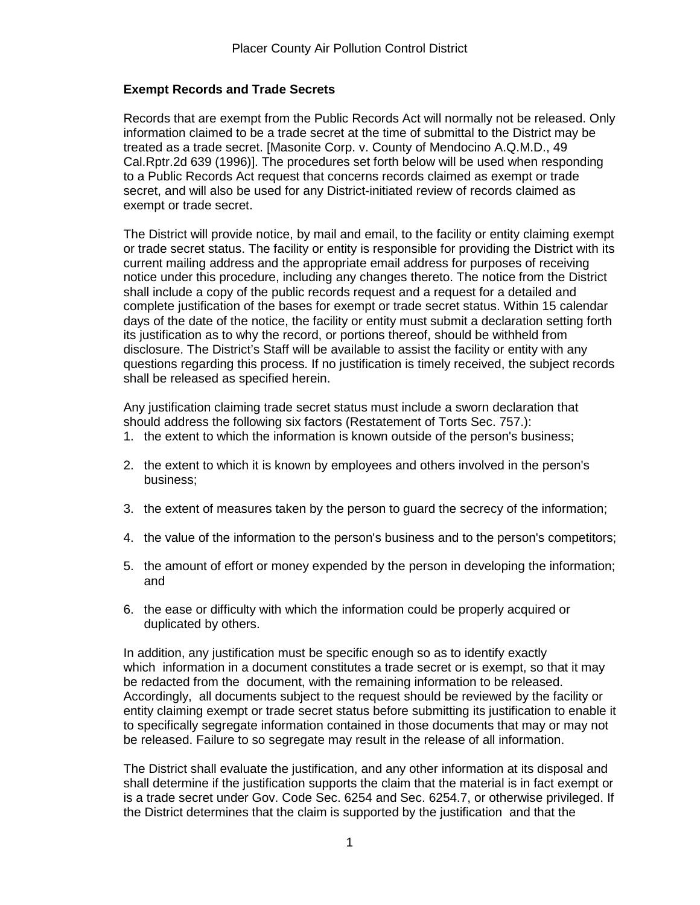## **Exempt Records and Trade Secrets**

Records that are exempt from the Public Records Act will normally not be released. Only information claimed to be a trade secret at the time of submittal to the District may be treated as a trade secret. [Masonite Corp. v. County of Mendocino A.Q.M.D., 49 Cal.Rptr.2d 639 (1996)]. The procedures set forth below will be used when responding to a Public Records Act request that concerns records claimed as exempt or trade secret, and will also be used for any District-initiated review of records claimed as exempt or trade secret.

The District will provide notice, by mail and email, to the facility or entity claiming exempt or trade secret status. The facility or entity is responsible for providing the District with its current mailing address and the appropriate email address for purposes of receiving notice under this procedure, including any changes thereto. The notice from the District shall include a copy of the public records request and a request for a detailed and complete justification of the bases for exempt or trade secret status. Within 15 calendar days of the date of the notice, the facility or entity must submit a declaration setting forth its justification as to why the record, or portions thereof, should be withheld from disclosure. The District's Staff will be available to assist the facility or entity with any questions regarding this process. If no justification is timely received, the subject records shall be released as specified herein.

Any justification claiming trade secret status must include a sworn declaration that should address the following six factors (Restatement of Torts Sec. 757.):

- 1. the extent to which the information is known outside of the person's business;
- 2. the extent to which it is known by employees and others involved in the person's business;
- 3. the extent of measures taken by the person to guard the secrecy of the information;
- 4. the value of the information to the person's business and to the person's competitors;
- 5. the amount of effort or money expended by the person in developing the information; and
- 6. the ease or difficulty with which the information could be properly acquired or duplicated by others.

In addition, any justification must be specific enough so as to identify exactly which information in a document constitutes a trade secret or is exempt, so that it may be redacted from the document, with the remaining information to be released. Accordingly, all documents subject to the request should be reviewed by the facility or entity claiming exempt or trade secret status before submitting its justification to enable it to specifically segregate information contained in those documents that may or may not be released. Failure to so segregate may result in the release of all information.

The District shall evaluate the justification, and any other information at its disposal and shall determine if the justification supports the claim that the material is in fact exempt or is a trade secret under Gov. Code Sec. 6254 and Sec. 6254.7, or otherwise privileged. If the District determines that the claim is supported by the justification and that the